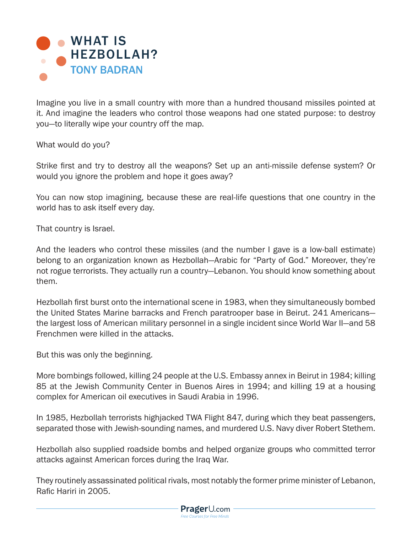

Imagine you live in a small country with more than a hundred thousand missiles pointed at it. And imagine the leaders who control those weapons had one stated purpose: to destroy you—to literally wipe your country off the map.

What would do you?

Strike first and try to destroy all the weapons? Set up an anti-missile defense system? Or would you ignore the problem and hope it goes away?

You can now stop imagining, because these are real-life questions that one country in the world has to ask itself every day.

That country is Israel.

And the leaders who control these missiles (and the number I gave is a low-ball estimate) belong to an organization known as Hezbollah—Arabic for "Party of God." Moreover, they're not rogue terrorists. They actually run a country—Lebanon. You should know something about them.

Hezbollah first burst onto the international scene in 1983, when they simultaneously bombed the United States Marine barracks and French paratrooper base in Beirut. 241 Americans the largest loss of American military personnel in a single incident since World War II—and 58 Frenchmen were killed in the attacks.

But this was only the beginning.

More bombings followed, killing 24 people at the U.S. Embassy annex in Beirut in 1984; killing 85 at the Jewish Community Center in Buenos Aires in 1994; and killing 19 at a housing complex for American oil executives in Saudi Arabia in 1996.

In 1985, Hezbollah terrorists highjacked TWA Flight 847, during which they beat passengers, separated those with Jewish-sounding names, and murdered U.S. Navy diver Robert Stethem.

Hezbollah also supplied roadside bombs and helped organize groups who committed terror attacks against American forces during the Iraq War.

They routinely assassinated political rivals, most notably the former prime minister of Lebanon, Rafic Hariri in 2005.

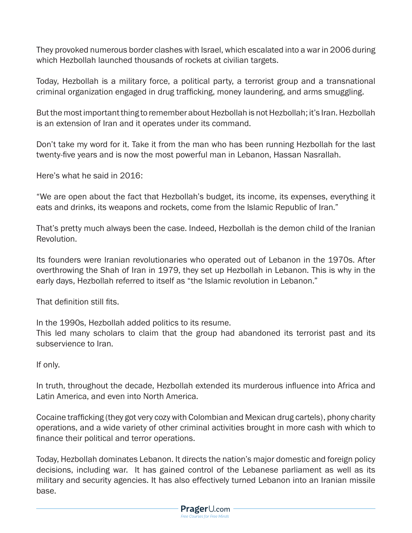They provoked numerous border clashes with Israel, which escalated into a war in 2006 during which Hezbollah launched thousands of rockets at civilian targets.

Today, Hezbollah is a military force, a political party, a terrorist group and a transnational criminal organization engaged in drug trafficking, money laundering, and arms smuggling.

But the most important thing to remember about Hezbollah is not Hezbollah; it's Iran. Hezbollah is an extension of Iran and it operates under its command.

Don't take my word for it. Take it from the man who has been running Hezbollah for the last twenty-five years and is now the most powerful man in Lebanon, Hassan Nasrallah.

Here's what he said in 2016:

"We are open about the fact that Hezbollah's budget, its income, its expenses, everything it eats and drinks, its weapons and rockets, come from the Islamic Republic of Iran."

That's pretty much always been the case. Indeed, Hezbollah is the demon child of the Iranian Revolution.

Its founders were Iranian revolutionaries who operated out of Lebanon in the 1970s. After overthrowing the Shah of Iran in 1979, they set up Hezbollah in Lebanon. This is why in the early days, Hezbollah referred to itself as "the Islamic revolution in Lebanon."

That definition still fits.

In the 1990s, Hezbollah added politics to its resume.

This led many scholars to claim that the group had abandoned its terrorist past and its subservience to Iran.

If only.

In truth, throughout the decade, Hezbollah extended its murderous influence into Africa and Latin America, and even into North America.

Cocaine trafficking (they got very cozy with Colombian and Mexican drug cartels), phony charity operations, and a wide variety of other criminal activities brought in more cash with which to finance their political and terror operations.

Today, Hezbollah dominates Lebanon. It directs the nation's major domestic and foreign policy decisions, including war. It has gained control of the Lebanese parliament as well as its military and security agencies. It has also effectively turned Lebanon into an Iranian missile base.